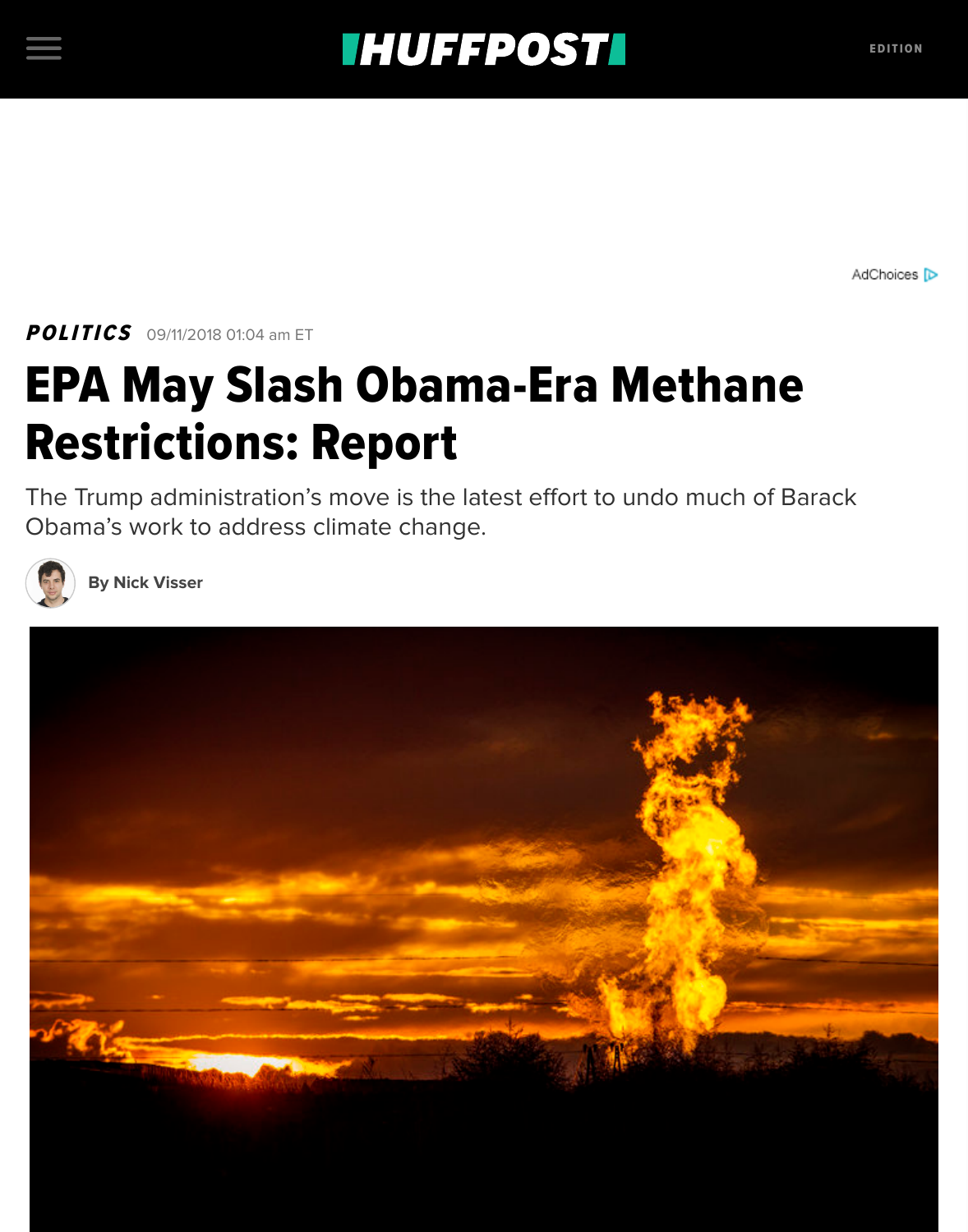## **EPA May Slash Obama-Era Methan** Restrictions: Report

The Trump administration's move is the latest effort to undo much of Obama's work to address climate change.



**[By Nic](https://www.huffingtonpost.com/section/politics)k Visser**

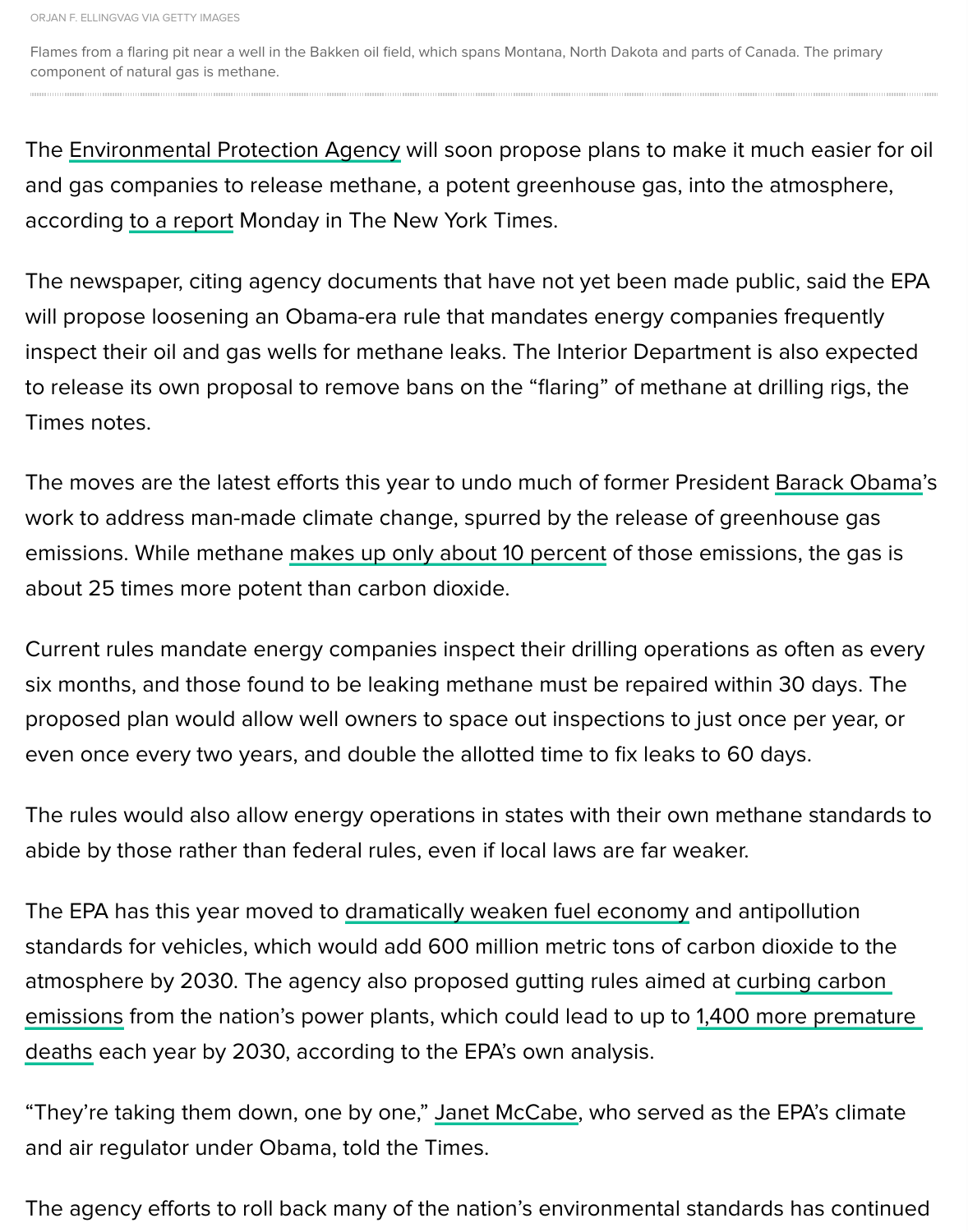The newspaper, citing agency documents that have not yet been made pub will propose loosening an Obama-era rule that mandates energy companies inspect their oil and gas wells for methane leaks. The Interior Department is to r[elease its own proposal to remove](https://www.huffingtonpost.com/topic/epa) bans on the "flaring" of methane at d Times notes.

The moves are the latest efforts this year to undo much of former President work to address man-made climate change, spurred by the release of green emissions. While methane makes up only about 10 percent of those emissic about 25 times more potent than carbon dioxide.

Current rules mandate energy companies inspect their drilling operations as six months, and those found to be leaking methane must be repaired within proposed plan would allow well owners to space out inspections to just ond even once every two years, and double the allotted time to fix leaks to 60 do

The rules would also allow energy operations in states with their own methangerabide by those rather than federal rules, even if local laws are far weaker.

The EPA has this year moved to dramatically weaken fuel economy and ant standards for vehicles, which would add 600 million metric tons of carbon dioxide to atmosphere by 2030. The agency also proposed gutting rules aimed at curl emissions from the nation's power plants, which could lead to up to 1,400 more premature. deaths each year by 2030, according to the EPA's own analysis.

"They're taking them down, one by one," Janet McCabe, who served as the and air regulator under Obama, [told the Times.](https://www.huffingtonpost.com/entry/trump-fuel-economy-standards_us_5b106b1ae4b010565aaa80e4)

The agency efforts to roll back many of the nation's environmental standard